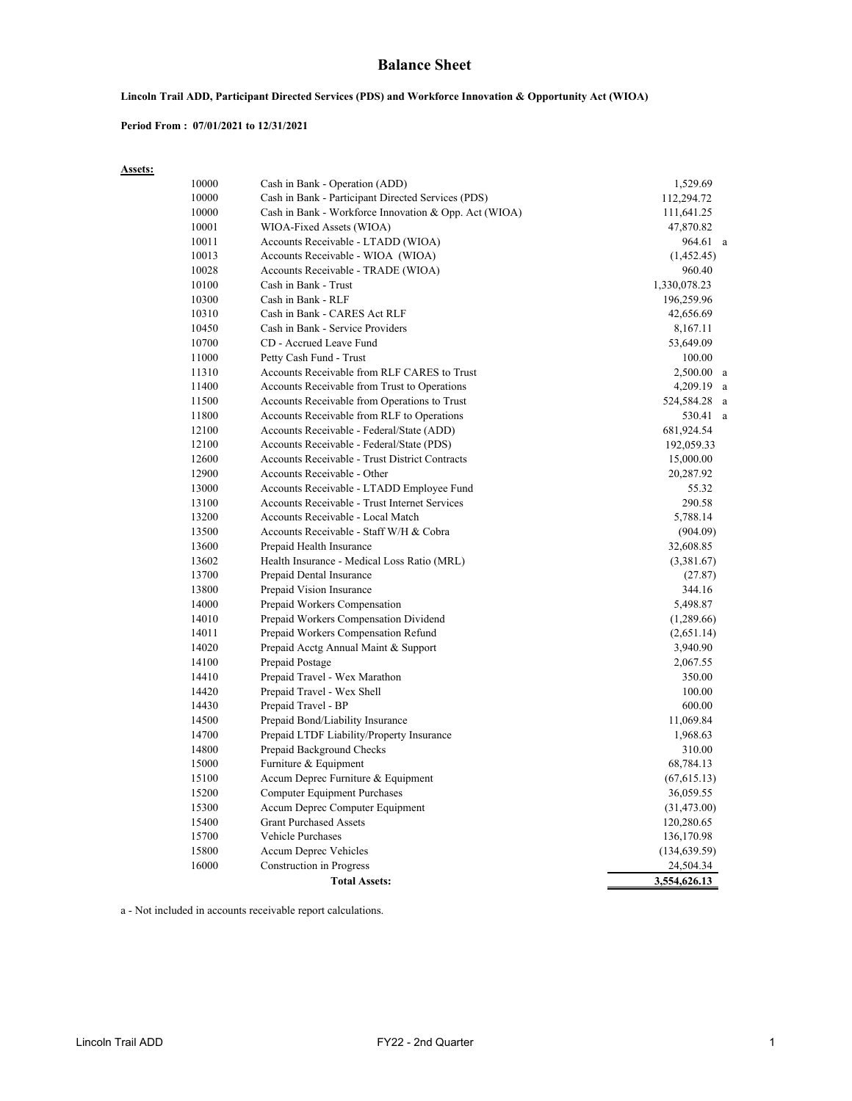### **Balance Sheet**

### **Lincoln Trail ADD, Participant Directed Services (PDS) and Workforce Innovation & Opportunity Act (WIOA)**

#### **Period From : 07/01/2021 to 12/31/2021**

**Assets:**

| 10000 | Cash in Bank - Operation (ADD)                        | 1,529.69      |
|-------|-------------------------------------------------------|---------------|
| 10000 | Cash in Bank - Participant Directed Services (PDS)    | 112,294.72    |
| 10000 | Cash in Bank - Workforce Innovation & Opp. Act (WIOA) | 111,641.25    |
| 10001 | WIOA-Fixed Assets (WIOA)                              | 47,870.82     |
| 10011 | Accounts Receivable - LTADD (WIOA)                    | 964.61 a      |
| 10013 | Accounts Receivable - WIOA (WIOA)                     | (1,452.45)    |
| 10028 | Accounts Receivable - TRADE (WIOA)                    | 960.40        |
| 10100 | Cash in Bank - Trust                                  | 1,330,078.23  |
| 10300 | Cash in Bank - RLF                                    | 196,259.96    |
| 10310 | Cash in Bank - CARES Act RLF                          | 42,656.69     |
| 10450 | Cash in Bank - Service Providers                      | 8,167.11      |
| 10700 | CD - Accrued Leave Fund                               | 53,649.09     |
| 11000 | Petty Cash Fund - Trust                               | 100.00        |
| 11310 | Accounts Receivable from RLF CARES to Trust           | $2,500.00$ a  |
| 11400 | Accounts Receivable from Trust to Operations          | 4,209.19      |
| 11500 | Accounts Receivable from Operations to Trust          | 524,584.28    |
| 11800 | Accounts Receivable from RLF to Operations            | 530.41 a      |
| 12100 | Accounts Receivable - Federal/State (ADD)             | 681,924.54    |
| 12100 | Accounts Receivable - Federal/State (PDS)             | 192,059.33    |
| 12600 | <b>Accounts Receivable - Trust District Contracts</b> | 15,000.00     |
| 12900 | Accounts Receivable - Other                           | 20,287.92     |
| 13000 | Accounts Receivable - LTADD Employee Fund             | 55.32         |
| 13100 | Accounts Receivable - Trust Internet Services         | 290.58        |
| 13200 | Accounts Receivable - Local Match                     | 5,788.14      |
| 13500 | Accounts Receivable - Staff W/H & Cobra               | (904.09)      |
| 13600 | Prepaid Health Insurance                              | 32,608.85     |
| 13602 | Health Insurance - Medical Loss Ratio (MRL)           | (3,381.67)    |
| 13700 | Prepaid Dental Insurance                              | (27.87)       |
| 13800 | Prepaid Vision Insurance                              | 344.16        |
| 14000 | Prepaid Workers Compensation                          | 5,498.87      |
| 14010 | Prepaid Workers Compensation Dividend                 | (1,289.66)    |
| 14011 | Prepaid Workers Compensation Refund                   | (2,651.14)    |
| 14020 | Prepaid Acctg Annual Maint & Support                  | 3,940.90      |
| 14100 | Prepaid Postage                                       | 2,067.55      |
| 14410 | Prepaid Travel - Wex Marathon                         | 350.00        |
| 14420 | Prepaid Travel - Wex Shell                            | 100.00        |
| 14430 | Prepaid Travel - BP                                   | 600.00        |
| 14500 | Prepaid Bond/Liability Insurance                      | 11,069.84     |
| 14700 | Prepaid LTDF Liability/Property Insurance             | 1,968.63      |
| 14800 | Prepaid Background Checks                             | 310.00        |
| 15000 | Furniture & Equipment                                 | 68,784.13     |
| 15100 | Accum Deprec Furniture & Equipment                    | (67, 615.13)  |
| 15200 | Computer Equipment Purchases                          | 36,059.55     |
| 15300 | Accum Deprec Computer Equipment                       | (31, 473.00)  |
| 15400 | <b>Grant Purchased Assets</b>                         | 120,280.65    |
| 15700 | <b>Vehicle Purchases</b>                              | 136,170.98    |
| 15800 | Accum Deprec Vehicles                                 | (134, 639.59) |
| 16000 | Construction in Progress                              | 24,504.34     |
|       | <b>Total Assets:</b>                                  | 3,554,626.13  |

a - Not included in accounts receivable report calculations.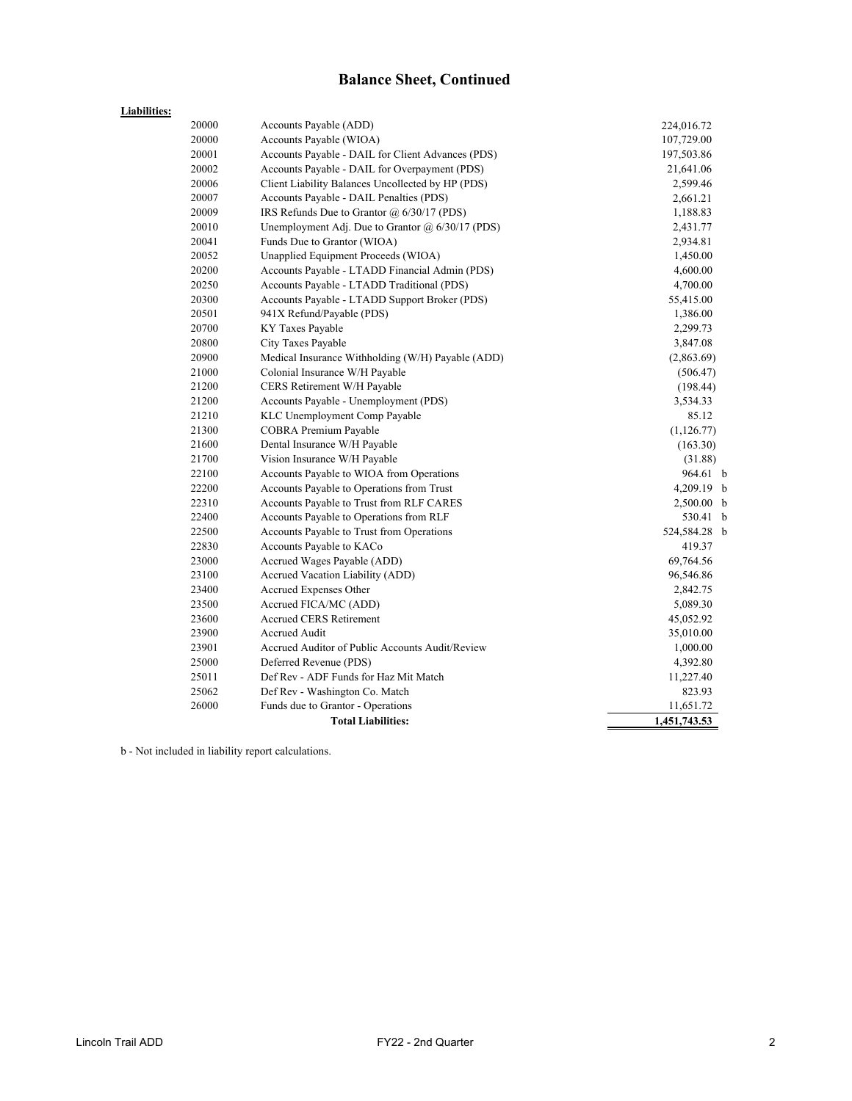# **Balance Sheet, Continued**

### **Liabilities:**

| 20000 | Accounts Payable (ADD)                            | 224,016.72   |  |  |  |  |
|-------|---------------------------------------------------|--------------|--|--|--|--|
| 20000 | Accounts Payable (WIOA)                           | 107,729.00   |  |  |  |  |
| 20001 | Accounts Payable - DAIL for Client Advances (PDS) | 197,503.86   |  |  |  |  |
| 20002 | Accounts Payable - DAIL for Overpayment (PDS)     | 21,641.06    |  |  |  |  |
| 20006 | Client Liability Balances Uncollected by HP (PDS) | 2,599.46     |  |  |  |  |
| 20007 | Accounts Payable - DAIL Penalties (PDS)           | 2,661.21     |  |  |  |  |
| 20009 | IRS Refunds Due to Grantor $\omega$ 6/30/17 (PDS) | 1,188.83     |  |  |  |  |
| 20010 | Unemployment Adj. Due to Grantor @ 6/30/17 (PDS)  | 2,431.77     |  |  |  |  |
| 20041 | Funds Due to Grantor (WIOA)                       | 2,934.81     |  |  |  |  |
| 20052 | Unapplied Equipment Proceeds (WIOA)               | 1,450.00     |  |  |  |  |
| 20200 | Accounts Payable - LTADD Financial Admin (PDS)    | 4,600.00     |  |  |  |  |
| 20250 | Accounts Payable - LTADD Traditional (PDS)        | 4,700.00     |  |  |  |  |
| 20300 | Accounts Payable - LTADD Support Broker (PDS)     | 55,415.00    |  |  |  |  |
| 20501 | 941X Refund/Payable (PDS)                         | 1,386.00     |  |  |  |  |
| 20700 | KY Taxes Payable                                  | 2,299.73     |  |  |  |  |
| 20800 | City Taxes Payable                                | 3,847.08     |  |  |  |  |
| 20900 | Medical Insurance Withholding (W/H) Payable (ADD) | (2,863.69)   |  |  |  |  |
| 21000 | Colonial Insurance W/H Payable                    | (506.47)     |  |  |  |  |
| 21200 | CERS Retirement W/H Payable                       | (198.44)     |  |  |  |  |
| 21200 | Accounts Payable - Unemployment (PDS)             | 3,534.33     |  |  |  |  |
| 21210 | KLC Unemployment Comp Payable                     | 85.12        |  |  |  |  |
| 21300 | COBRA Premium Payable                             | (1,126.77)   |  |  |  |  |
| 21600 | Dental Insurance W/H Payable                      | (163.30)     |  |  |  |  |
| 21700 | Vision Insurance W/H Payable                      | (31.88)      |  |  |  |  |
| 22100 | Accounts Payable to WIOA from Operations          | 964.61 b     |  |  |  |  |
| 22200 | Accounts Payable to Operations from Trust         | 4,209.19 b   |  |  |  |  |
| 22310 | Accounts Payable to Trust from RLF CARES          | 2,500.00 b   |  |  |  |  |
| 22400 | Accounts Payable to Operations from RLF           | 530.41 b     |  |  |  |  |
| 22500 | Accounts Payable to Trust from Operations         | 524,584.28 b |  |  |  |  |
| 22830 | Accounts Payable to KACo                          | 419.37       |  |  |  |  |
| 23000 | Accrued Wages Payable (ADD)                       | 69,764.56    |  |  |  |  |
| 23100 | Accrued Vacation Liability (ADD)                  | 96,546.86    |  |  |  |  |
| 23400 | Accrued Expenses Other                            | 2,842.75     |  |  |  |  |
| 23500 | Accrued FICA/MC (ADD)                             | 5,089.30     |  |  |  |  |
| 23600 | <b>Accrued CERS Retirement</b>                    | 45,052.92    |  |  |  |  |
| 23900 | Accrued Audit                                     | 35,010.00    |  |  |  |  |
| 23901 | Accrued Auditor of Public Accounts Audit/Review   | 1,000.00     |  |  |  |  |
| 25000 | Deferred Revenue (PDS)                            | 4,392.80     |  |  |  |  |
| 25011 | Def Rev - ADF Funds for Haz Mit Match             |              |  |  |  |  |
| 25062 | Def Rev - Washington Co. Match                    | 823.93       |  |  |  |  |
| 26000 | Funds due to Grantor - Operations                 | 11,651.72    |  |  |  |  |
|       | <b>Total Liabilities:</b>                         | 1,451,743.53 |  |  |  |  |

b - Not included in liability report calculations.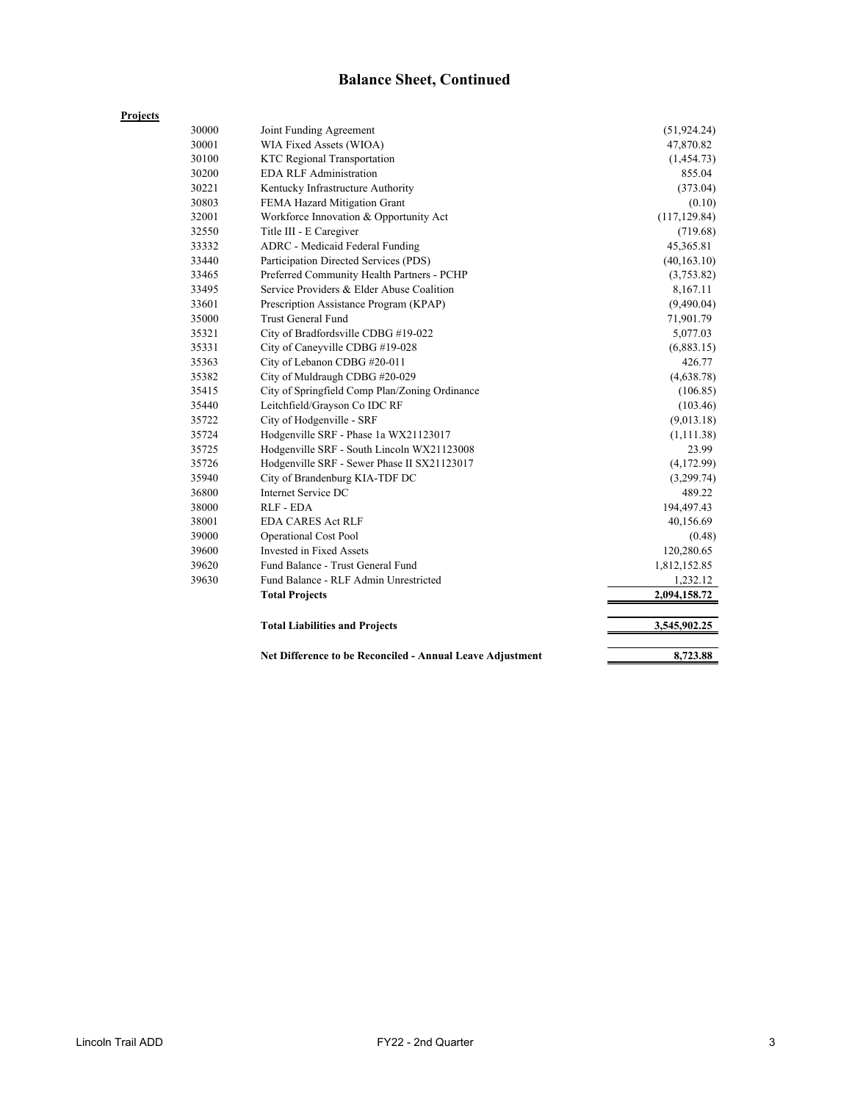# **Balance Sheet, Continued**

|       | Net Difference to be Reconciled - Annual Leave Adjustment | 8,723.88      |
|-------|-----------------------------------------------------------|---------------|
|       | <b>Total Liabilities and Projects</b>                     | 3,545,902.25  |
|       |                                                           |               |
|       | <b>Total Projects</b>                                     | 2,094,158.72  |
| 39630 | Fund Balance - RLF Admin Unrestricted                     | 1,232.12      |
| 39620 | Fund Balance - Trust General Fund                         | 1,812,152.85  |
| 39600 | Invested in Fixed Assets                                  | 120,280.65    |
| 39000 | <b>Operational Cost Pool</b>                              | (0.48)        |
| 38001 | <b>EDA CARES Act RLF</b>                                  | 40,156.69     |
| 38000 | RLF - EDA                                                 | 194,497.43    |
| 36800 | Internet Service DC                                       | 489.22        |
| 35940 | City of Brandenburg KIA-TDF DC                            | (3,299.74)    |
| 35726 | Hodgenville SRF - Sewer Phase II SX21123017               | (4,172.99)    |
| 35725 | Hodgenville SRF - South Lincoln WX21123008                | 23.99         |
| 35724 | Hodgenville SRF - Phase 1a WX21123017                     | (1,111.38)    |
| 35722 | City of Hodgenville - SRF                                 | (9,013.18)    |
| 35440 | Leitchfield/Grayson Co IDC RF                             | (103.46)      |
| 35415 | City of Springfield Comp Plan/Zoning Ordinance            | (106.85)      |
| 35382 | City of Muldraugh CDBG #20-029                            | (4,638.78)    |
| 35363 | City of Lebanon CDBG #20-011                              | 426.77        |
| 35331 | City of Caneyville CDBG #19-028                           | (6,883.15)    |
| 35321 | City of Bradfordsville CDBG #19-022                       | 5,077.03      |
| 35000 | Trust General Fund                                        | 71,901.79     |
| 33601 | Prescription Assistance Program (KPAP)                    | (9,490.04)    |
| 33495 | Service Providers & Elder Abuse Coalition                 | 8,167.11      |
| 33465 | Preferred Community Health Partners - PCHP                | (3,753.82)    |
| 33440 | Participation Directed Services (PDS)                     | (40, 163.10)  |
| 33332 | ADRC - Medicaid Federal Funding                           | 45,365.81     |
| 32550 | Title III - E Caregiver                                   | (719.68)      |
| 32001 | Workforce Innovation & Opportunity Act                    | (117, 129.84) |
| 30803 | FEMA Hazard Mitigation Grant                              | (0.10)        |
| 30221 | Kentucky Infrastructure Authority                         | (373.04)      |
| 30200 | <b>EDA RLF Administration</b>                             | 855.04        |
| 30100 | <b>KTC Regional Transportation</b>                        | (1,454.73)    |
| 30001 | WIA Fixed Assets (WIOA)                                   | 47,870.82     |
| 30000 | Joint Funding Agreement                                   | (51, 924.24)  |

**Projects**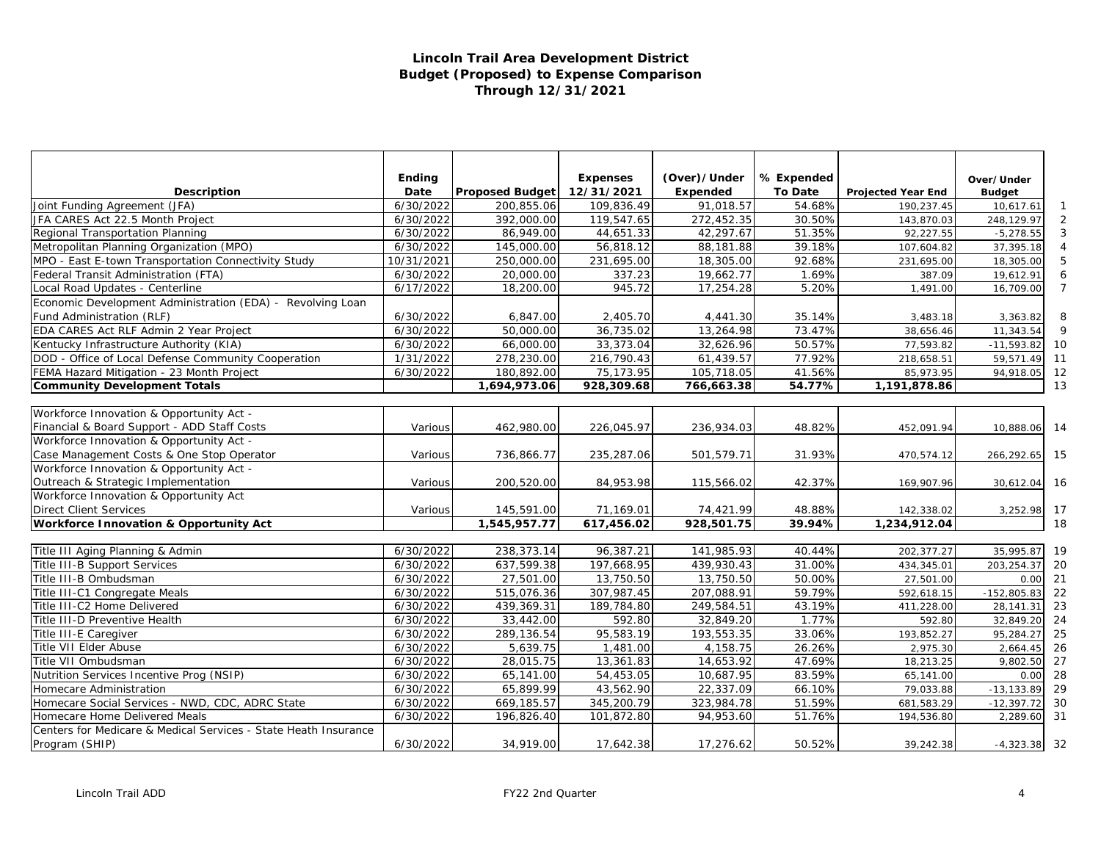### **Lincoln Trail Area Development District Budget (Proposed) to Expense Comparison Through 12/31/2021**

|                                                                 | <b>Ending</b> |                        | <b>Expenses</b> | (Over)/Under | % Expended     |                           |                             |     |
|-----------------------------------------------------------------|---------------|------------------------|-----------------|--------------|----------------|---------------------------|-----------------------------|-----|
| <b>Description</b>                                              | Date          | <b>Proposed Budget</b> | 12/31/2021      | Expended     | <b>To Date</b> | <b>Projected Year End</b> | Over/Under<br><b>Budget</b> |     |
| Joint Funding Agreement (JFA)                                   | 6/30/2022     | 200,855.06             | 109,836.49      | 91,018.57    | 54.68%         | 190,237.45                | 10,617.61                   |     |
| JFA CARES Act 22.5 Month Project                                | 6/30/2022     | 392,000.00             | 119,547.65      | 272,452.35   | 30.50%         | 143,870.03                | 248,129.97                  |     |
| Regional Transportation Planning                                | 6/30/2022     | 86,949.00              | 44,651.33       | 42,297.67    | 51.35%         | 92,227.55                 | $-5,278.55$                 |     |
| Metropolitan Planning Organization (MPO)                        | 6/30/2022     | 145,000.00             | 56,818.12       | 88,181.88    | 39.18%         | 107,604.82                | 37,395.18                   |     |
| MPO - East E-town Transportation Connectivity Study             | 10/31/2021    | 250,000.00             | 231,695.00      | 18,305.00    | 92.68%         | 231,695.00                | 18,305.00                   |     |
| Federal Transit Administration (FTA)                            | 6/30/2022     | 20,000.00              | 337.23          | 19,662.77    | 1.69%          | 387.09                    | 19,612.91                   |     |
| Local Road Updates - Centerline                                 | 6/17/2022     | 18,200.00              | 945.72          | 17,254.28    | 5.20%          | 1,491.00                  | 16,709.00                   |     |
| Economic Development Administration (EDA) - Revolving Loan      |               |                        |                 |              |                |                           |                             |     |
| Fund Administration (RLF)                                       | 6/30/2022     | 6,847.00               | 2,405.70        | 4,441.30     | 35.14%         | 3,483.18                  | 3,363.82                    | 8   |
| EDA CARES Act RLF Admin 2 Year Project                          | 6/30/2022     | 50,000.00              | 36,735.02       | 13,264.98    | 73.47%         | 38,656.46                 | 11,343.54                   |     |
| Kentucky Infrastructure Authority (KIA)                         | 6/30/2022     | 66,000.00              | 33,373.04       | 32,626.96    | 50.57%         | 77,593.82                 | $-11,593.82$                | 10  |
| DOD - Office of Local Defense Community Cooperation             | 1/31/2022     | 278,230.00             | 216,790.43      | 61,439.57    | 77.92%         | 218,658.51                | 59,571.49                   | 11  |
| FEMA Hazard Mitigation - 23 Month Project                       | 6/30/2022     | 180,892.00             | 75,173.95       | 105,718.05   | 41.56%         | 85,973.95                 | 94,918.05                   | 12  |
| <b>Community Development Totals</b>                             |               | 1,694,973.06           | 928,309.68      | 766,663.38   | 54.77%         | 1,191,878.86              |                             | 13  |
|                                                                 |               |                        |                 |              |                |                           |                             |     |
| Workforce Innovation & Opportunity Act -                        |               |                        |                 |              |                |                           |                             |     |
| Financial & Board Support - ADD Staff Costs                     | Various       | 462,980.00             | 226,045.97      | 236,934.03   | 48.82%         | 452,091.94                | 10,888.06                   | 14  |
| Workforce Innovation & Opportunity Act -                        |               |                        |                 |              |                |                           |                             |     |
| Case Management Costs & One Stop Operator                       | Various       | 736,866.77             | 235,287.06      | 501,579.71   | 31.93%         | 470,574.12                | 266,292.65                  | 15  |
| Workforce Innovation & Opportunity Act -                        |               |                        |                 |              |                |                           |                             |     |
| Outreach & Strategic Implementation                             | Various       | 200,520.00             | 84,953.98       | 115,566.02   | 42.37%         | 169,907.96                | 30,612.04                   | -16 |
| Workforce Innovation & Opportunity Act                          |               |                        |                 |              |                |                           |                             |     |
| <b>Direct Client Services</b>                                   | Various       | 145,591.00             | 71,169.01       | 74,421.99    | 48.88%         | 142,338.02                | 3,252.98                    | 17  |
| <b>Workforce Innovation &amp; Opportunity Act</b>               |               | 1,545,957.77           | 617,456.02      | 928,501.75   | 39.94%         | 1,234,912.04              |                             | 18  |
|                                                                 |               |                        |                 |              |                |                           |                             |     |
| Title III Aging Planning & Admin                                | 6/30/2022     | 238,373.14             | 96,387.21       | 141,985.93   | 40.44%         | 202,377.27                | 35,995.87                   | 19  |
| Title III-B Support Services                                    | 6/30/2022     | 637,599.38             | 197,668.95      | 439,930.43   | 31.00%         | 434,345.01                | 203,254.37                  | 20  |
| Title III-B Ombudsman                                           | 6/30/2022     | 27,501.00              | 13,750.50       | 13,750.50    | 50.00%         | 27,501.00                 | 0.00                        | 21  |
| Title III-C1 Congregate Meals                                   | 6/30/2022     | 515,076.36             | 307,987.45      | 207,088.91   | 59.79%         | 592,618.15                | $-152,805.83$               | 22  |
| Title III-C2 Home Delivered                                     | 6/30/2022     | 439,369.31             | 189,784.80      | 249,584.51   | 43.19%         | 411,228.00                | 28,141.31                   | 23  |
| Title III-D Preventive Health                                   | 6/30/2022     | 33,442.00              | 592.80          | 32,849.20    | 1.77%          | 592.80                    | 32,849.20                   | 24  |
| Title III-E Caregiver                                           | 6/30/2022     | 289,136.54             | 95,583.19       | 193,553.35   | 33.06%         | 193,852.27                | 95,284.27                   | 25  |
| Title VII Elder Abuse                                           | 6/30/2022     | 5,639.75               | 1,481.00        | 4,158.75     | 26.26%         | 2,975.30                  | 2,664.45                    | 26  |
| Title VII Ombudsman                                             | 6/30/2022     | 28,015.75              | 13,361.83       | 14,653.92    | 47.69%         | 18,213.25                 | 9,802.50                    | 27  |
| Nutrition Services Incentive Prog (NSIP)                        | 6/30/2022     | 65,141.00              | 54,453.05       | 10,687.95    | 83.59%         | 65,141.00                 | 0.00                        | 28  |
| Homecare Administration                                         | 6/30/2022     | 65,899.99              | 43,562.90       | 22,337.09    | 66.10%         | 79,033.88                 | $-13,133.89$                | 29  |
| Homecare Social Services - NWD, CDC, ADRC State                 | 6/30/2022     | 669,185.57             | 345,200.79      | 323,984.78   | 51.59%         | 681,583.29                | $-12,397.72$                | 30  |
| Homecare Home Delivered Meals                                   | 6/30/2022     | 196,826.40             | 101,872.80      | 94,953.60    | 51.76%         | 194,536.80                | 2,289.60                    | 31  |
| Centers for Medicare & Medical Services - State Heath Insurance |               |                        |                 |              |                |                           |                             |     |
| Program (SHIP)                                                  | 6/30/2022     | 34,919.00              | 17,642.38       | 17,276.62    | 50.52%         | 39,242.38                 | $-4,323.38$ 32              |     |